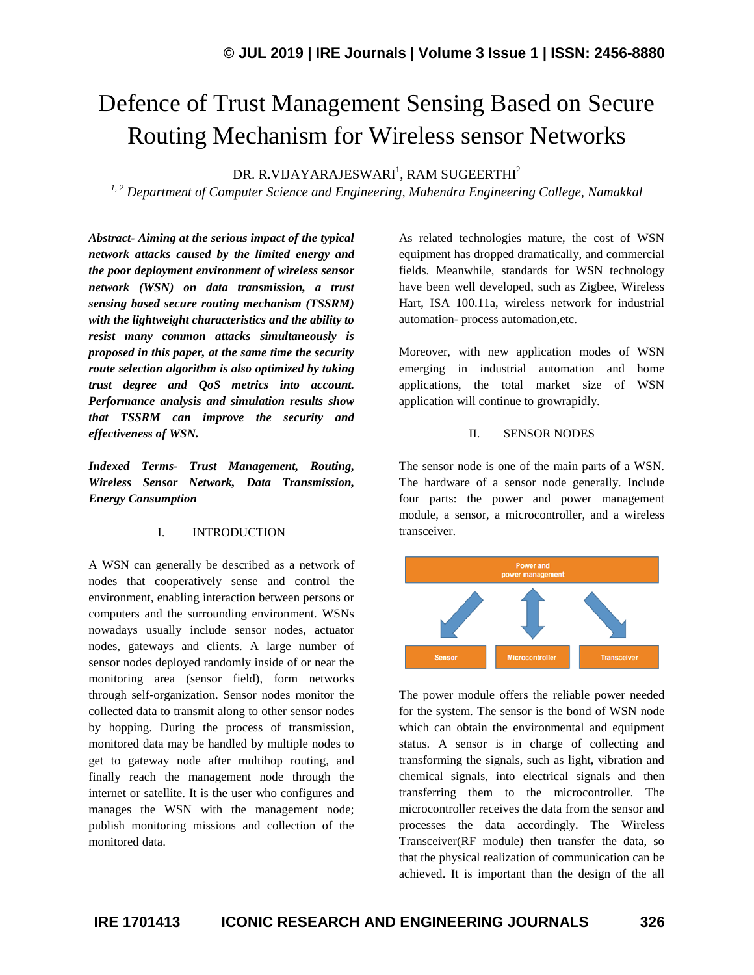# Defence of Trust Management Sensing Based on Secure Routing Mechanism for Wireless sensor Networks

DR. R.VIJAYARAJESWARI $^{\rm l}$ , RAM SUGEERTHI $^{\rm 2}$ 

*1, 2 Department of Computer Science and Engineering, Mahendra Engineering College, Namakkal*

*Abstract- Aiming at the serious impact of the typical network attacks caused by the limited energy and the poor deployment environment of wireless sensor network (WSN) on data transmission, a trust sensing based secure routing mechanism (TSSRM) with the lightweight characteristics and the ability to resist many common attacks simultaneously is proposed in this paper, at the same time the security route selection algorithm is also optimized by taking trust degree and QoS metrics into account. Performance analysis and simulation results show that TSSRM can improve the security and effectiveness of WSN.*

*Indexed Terms- Trust Management, Routing, Wireless Sensor Network, Data Transmission, Energy Consumption*

#### I. INTRODUCTION

A WSN can generally be described as a network of nodes that cooperatively sense and control the environment, enabling interaction between persons or computers and the surrounding environment. WSNs nowadays usually include sensor nodes, actuator nodes, gateways and clients. A large number of sensor nodes deployed randomly inside of or near the monitoring area (sensor field), form networks through self-organization. Sensor nodes monitor the collected data to transmit along to other sensor nodes by hopping. During the process of transmission, monitored data may be handled by multiple nodes to get to gateway node after multihop routing, and finally reach the management node through the internet or satellite. It is the user who configures and manages the WSN with the management node; publish monitoring missions and collection of the monitored data.

As related technologies mature, the cost of WSN equipment has dropped dramatically, and commercial fields. Meanwhile, standards for WSN technology have been well developed, such as Zigbee, Wireless Hart, ISA 100.11a, wireless network for industrial automation- process automation,etc.

Moreover, with new application modes of WSN emerging in industrial automation and home applications, the total market size of WSN application will continue to growrapidly.

#### II. SENSOR NODES

The sensor node is one of the main parts of a WSN. The hardware of a sensor node generally. Include four parts: the power and power management module, a sensor, a microcontroller, and a wireless transceiver.



The power module offers the reliable power needed for the system. The sensor is the bond of WSN node which can obtain the environmental and equipment status. A sensor is in charge of collecting and transforming the signals, such as light, vibration and chemical signals, into electrical signals and then transferring them to the microcontroller. The microcontroller receives the data from the sensor and processes the data accordingly. The Wireless Transceiver(RF module) then transfer the data, so that the physical realization of communication can be achieved. It is important than the design of the all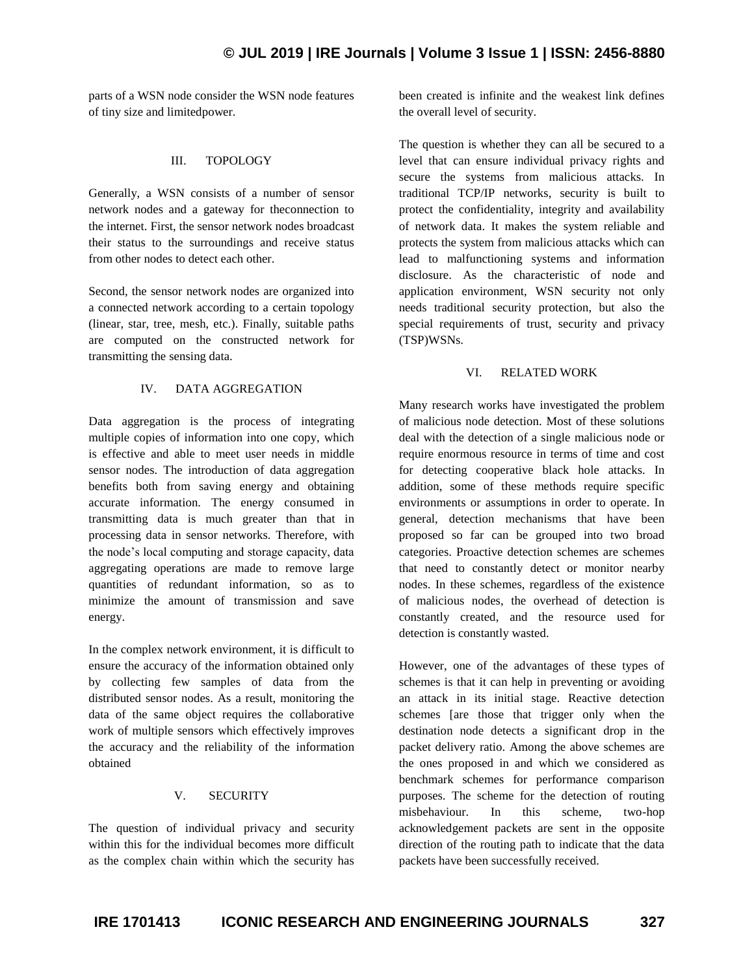parts of a WSN node consider the WSN node features of tiny size and limitedpower.

#### III. TOPOLOGY

Generally, a WSN consists of a number of sensor network nodes and a gateway for theconnection to the internet. First, the sensor network nodes broadcast their status to the surroundings and receive status from other nodes to detect each other.

Second, the sensor network nodes are organized into a connected network according to a certain topology (linear, star, tree, mesh, etc.). Finally, suitable paths are computed on the constructed network for transmitting the sensing data.

## IV. DATA AGGREGATION

Data aggregation is the process of integrating multiple copies of information into one copy, which is effective and able to meet user needs in middle sensor nodes. The introduction of data aggregation benefits both from saving energy and obtaining accurate information. The energy consumed in transmitting data is much greater than that in processing data in sensor networks. Therefore, with the node's local computing and storage capacity, data aggregating operations are made to remove large quantities of redundant information, so as to minimize the amount of transmission and save energy.

In the complex network environment, it is difficult to ensure the accuracy of the information obtained only by collecting few samples of data from the distributed sensor nodes. As a result, monitoring the data of the same object requires the collaborative work of multiple sensors which effectively improves the accuracy and the reliability of the information obtained

## V. SECURITY

The question of individual privacy and security within this for the individual becomes more difficult as the complex chain within which the security has been created is infinite and the weakest link defines the overall level of security.

The question is whether they can all be secured to a level that can ensure individual privacy rights and secure the systems from malicious attacks. In traditional TCP/IP networks, security is built to protect the confidentiality, integrity and availability of network data. It makes the system reliable and protects the system from malicious attacks which can lead to malfunctioning systems and information disclosure. As the characteristic of node and application environment, WSN security not only needs traditional security protection, but also the special requirements of trust, security and privacy (TSP)WSNs.

## VI. RELATED WORK

Many research works have investigated the problem of malicious node detection. Most of these solutions deal with the detection of a single malicious node or require enormous resource in terms of time and cost for detecting cooperative black hole attacks. In addition, some of these methods require specific environments or assumptions in order to operate. In general, detection mechanisms that have been proposed so far can be grouped into two broad categories. Proactive detection schemes are schemes that need to constantly detect or monitor nearby nodes. In these schemes, regardless of the existence of malicious nodes, the overhead of detection is constantly created, and the resource used for detection is constantly wasted.

However, one of the advantages of these types of schemes is that it can help in preventing or avoiding an attack in its initial stage. Reactive detection schemes [are those that trigger only when the destination node detects a significant drop in the packet delivery ratio. Among the above schemes are the ones proposed in and which we considered as benchmark schemes for performance comparison purposes. The scheme for the detection of routing misbehaviour. In this scheme, two-hop acknowledgement packets are sent in the opposite direction of the routing path to indicate that the data packets have been successfully received.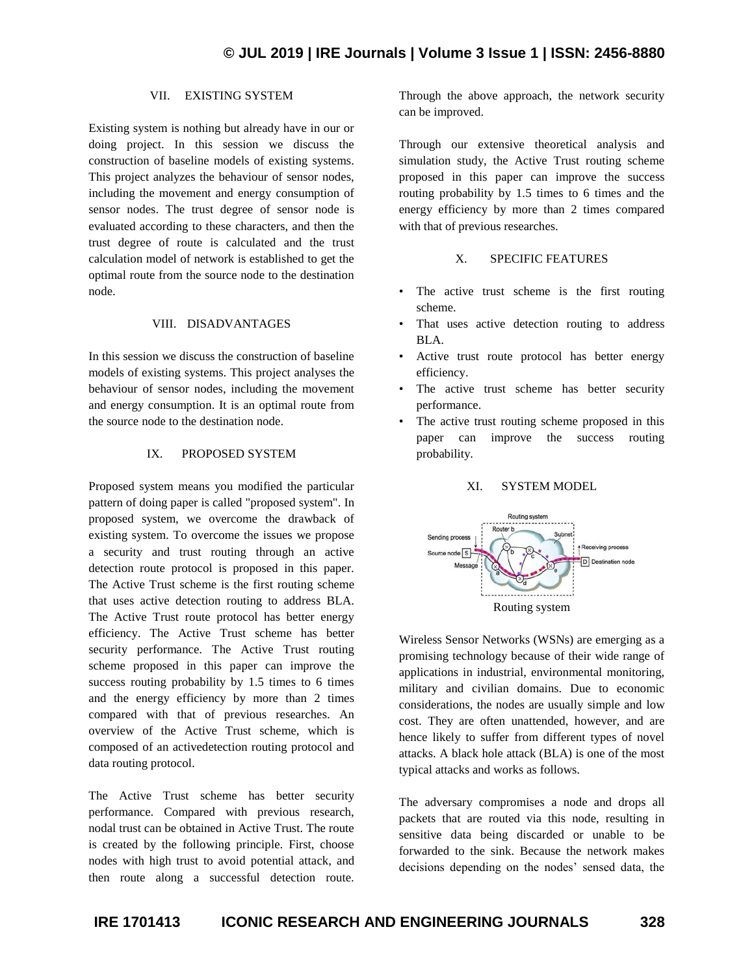## VII. EXISTING SYSTEM

Existing system is nothing but already have in our or doing project. In this session we discuss the construction of baseline models of existing systems. This project analyzes the behaviour of sensor nodes, including the movement and energy consumption of sensor nodes. The trust degree of sensor node is evaluated according to these characters, and then the trust degree of route is calculated and the trust calculation model of network is established to get the optimal route from the source node to the destination node.

#### VIII. DISADVANTAGES

In this session we discuss the construction of baseline models of existing systems. This project analyses the behaviour of sensor nodes, including the movement and energy consumption. It is an optimal route from the source node to the destination node.

## IX. PROPOSED SYSTEM

Proposed system means you modified the particular pattern of doing paper is called "proposed system". In proposed system, we overcome the drawback of existing system. To overcome the issues we propose a security and trust routing through an active detection route protocol is proposed in this paper. The Active Trust scheme is the first routing scheme that uses active detection routing to address BLA. The Active Trust route protocol has better energy efficiency. The Active Trust scheme has better security performance. The Active Trust routing scheme proposed in this paper can improve the success routing probability by 1.5 times to 6 times and the energy efficiency by more than 2 times compared with that of previous researches. An overview of the Active Trust scheme, which is composed of an activedetection routing protocol and data routing protocol.

The Active Trust scheme has better security performance. Compared with previous research, nodal trust can be obtained in Active Trust. The route is created by the following principle. First, choose nodes with high trust to avoid potential attack, and then route along a successful detection route.

Through the above approach, the network security can be improved.

Through our extensive theoretical analysis and simulation study, the Active Trust routing scheme proposed in this paper can improve the success routing probability by 1.5 times to 6 times and the energy efficiency by more than 2 times compared with that of previous researches.

#### X. SPECIFIC FEATURES

- The active trust scheme is the first routing scheme.
- That uses active detection routing to address BLA.
- Active trust route protocol has better energy efficiency.
- The active trust scheme has better security performance.
- The active trust routing scheme proposed in this paper can improve the success routing probability.

#### XI. SYSTEM MODEL



Wireless Sensor Networks (WSNs) are emerging as a promising technology because of their wide range of applications in industrial, environmental monitoring, military and civilian domains. Due to economic considerations, the nodes are usually simple and low cost. They are often unattended, however, and are hence likely to suffer from different types of novel attacks. A black hole attack (BLA) is one of the most typical attacks and works as follows.

The adversary compromises a node and drops all packets that are routed via this node, resulting in sensitive data being discarded or unable to be forwarded to the sink. Because the network makes decisions depending on the nodes' sensed data, the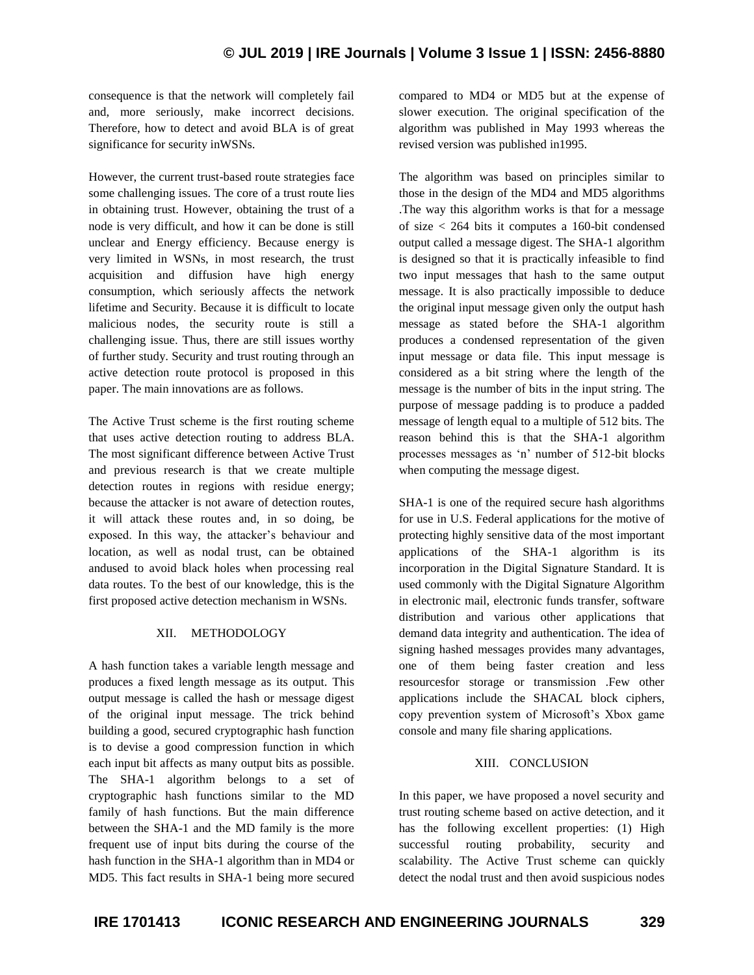## **© JUL 2019 | IRE Journals | Volume 3 Issue 1 | ISSN: 2456-8880**

consequence is that the network will completely fail and, more seriously, make incorrect decisions. Therefore, how to detect and avoid BLA is of great significance for security inWSNs.

However, the current trust-based route strategies face some challenging issues. The core of a trust route lies in obtaining trust. However, obtaining the trust of a node is very difficult, and how it can be done is still unclear and Energy efficiency. Because energy is very limited in WSNs, in most research, the trust acquisition and diffusion have high energy consumption, which seriously affects the network lifetime and Security. Because it is difficult to locate malicious nodes, the security route is still a challenging issue. Thus, there are still issues worthy of further study. Security and trust routing through an active detection route protocol is proposed in this paper. The main innovations are as follows.

The Active Trust scheme is the first routing scheme that uses active detection routing to address BLA. The most significant difference between Active Trust and previous research is that we create multiple detection routes in regions with residue energy; because the attacker is not aware of detection routes, it will attack these routes and, in so doing, be exposed. In this way, the attacker's behaviour and location, as well as nodal trust, can be obtained andused to avoid black holes when processing real data routes. To the best of our knowledge, this is the first proposed active detection mechanism in WSNs.

## XII. METHODOLOGY

A hash function takes a variable length message and produces a fixed length message as its output. This output message is called the hash or message digest of the original input message. The trick behind building a good, secured cryptographic hash function is to devise a good compression function in which each input bit affects as many output bits as possible. The SHA-1 algorithm belongs to a set of cryptographic hash functions similar to the MD family of hash functions. But the main difference between the SHA-1 and the MD family is the more frequent use of input bits during the course of the hash function in the SHA-1 algorithm than in MD4 or MD5. This fact results in SHA-1 being more secured compared to MD4 or MD5 but at the expense of slower execution. The original specification of the algorithm was published in May 1993 whereas the revised version was published in1995.

The algorithm was based on principles similar to those in the design of the MD4 and MD5 algorithms .The way this algorithm works is that for a message of size < 264 bits it computes a 160-bit condensed output called a message digest. The SHA-1 algorithm is designed so that it is practically infeasible to find two input messages that hash to the same output message. It is also practically impossible to deduce the original input message given only the output hash message as stated before the SHA-1 algorithm produces a condensed representation of the given input message or data file. This input message is considered as a bit string where the length of the message is the number of bits in the input string. The purpose of message padding is to produce a padded message of length equal to a multiple of 512 bits. The reason behind this is that the SHA-1 algorithm processes messages as 'n' number of 512-bit blocks when computing the message digest.

SHA-1 is one of the required secure hash algorithms for use in U.S. Federal applications for the motive of protecting highly sensitive data of the most important applications of the SHA-1 algorithm is its incorporation in the Digital Signature Standard. It is used commonly with the Digital Signature Algorithm in electronic mail, electronic funds transfer, software distribution and various other applications that demand data integrity and authentication. The idea of signing hashed messages provides many advantages, one of them being faster creation and less resourcesfor storage or transmission .Few other applications include the SHACAL block ciphers, copy prevention system of Microsoft's Xbox game console and many file sharing applications.

## XIII. CONCLUSION

In this paper, we have proposed a novel security and trust routing scheme based on active detection, and it has the following excellent properties: (1) High successful routing probability, security and scalability. The Active Trust scheme can quickly detect the nodal trust and then avoid suspicious nodes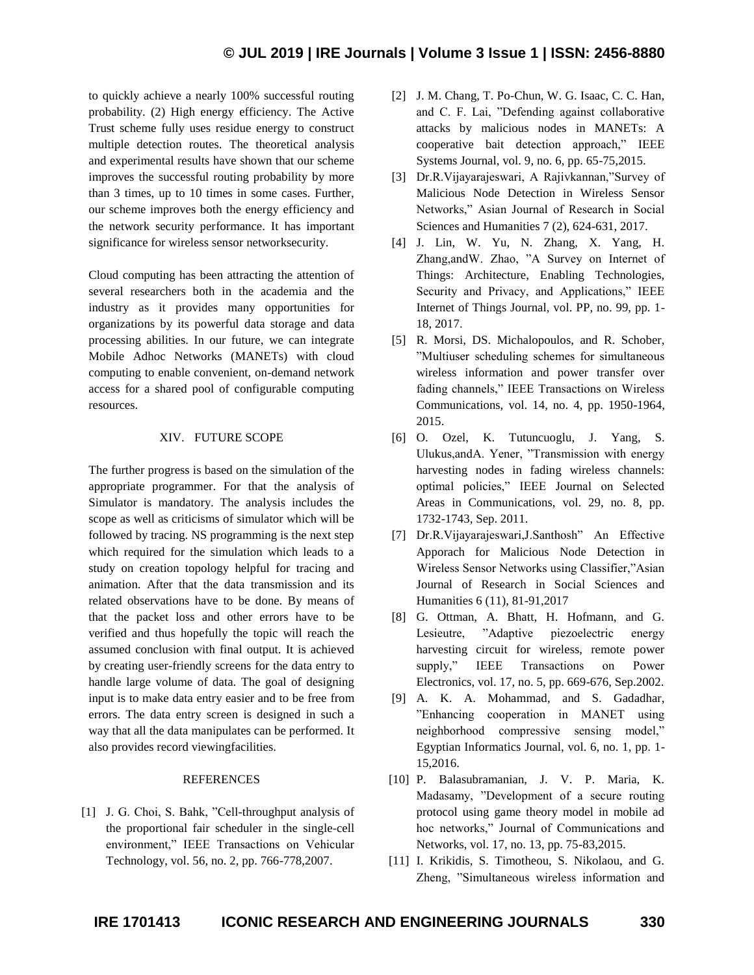to quickly achieve a nearly 100% successful routing probability. (2) High energy efficiency. The Active Trust scheme fully uses residue energy to construct multiple detection routes. The theoretical analysis and experimental results have shown that our scheme improves the successful routing probability by more than 3 times, up to 10 times in some cases. Further, our scheme improves both the energy efficiency and the network security performance. It has important significance for wireless sensor networksecurity.

Cloud computing has been attracting the attention of several researchers both in the academia and the industry as it provides many opportunities for organizations by its powerful data storage and data processing abilities. In our future, we can integrate Mobile Adhoc Networks (MANETs) with cloud computing to enable convenient, on-demand network access for a shared pool of configurable computing resources.

## XIV. FUTURE SCOPE

The further progress is based on the simulation of the appropriate programmer. For that the analysis of Simulator is mandatory. The analysis includes the scope as well as criticisms of simulator which will be followed by tracing. NS programming is the next step which required for the simulation which leads to a study on creation topology helpful for tracing and animation. After that the data transmission and its related observations have to be done. By means of that the packet loss and other errors have to be verified and thus hopefully the topic will reach the assumed conclusion with final output. It is achieved by creating user-friendly screens for the data entry to handle large volume of data. The goal of designing input is to make data entry easier and to be free from errors. The data entry screen is designed in such a way that all the data manipulates can be performed. It also provides record viewingfacilities.

## REFERENCES

[1] J. G. Choi, S. Bahk, "Cell-throughput analysis of the proportional fair scheduler in the single-cell environment," IEEE Transactions on Vehicular Technology, vol. 56, no. 2, pp. 766-778,2007.

- [2] J. M. Chang, T. Po-Chun, W. G. Isaac, C. C. Han, and C. F. Lai, "Defending against collaborative attacks by malicious nodes in MANETs: A cooperative bait detection approach," IEEE Systems Journal, vol. 9, no. 6, pp. 65-75,2015.
- [3] Dr.R.Vijayarajeswari, A Rajivkannan,"Survey of Malicious Node Detection in Wireless Sensor Networks," Asian Journal of Research in Social Sciences and Humanities 7 (2), 624-631, 2017.
- [4] J. Lin, W. Yu, N. Zhang, X. Yang, H. Zhang,andW. Zhao, "A Survey on Internet of Things: Architecture, Enabling Technologies, Security and Privacy, and Applications," IEEE Internet of Things Journal, vol. PP, no. 99, pp. 1- 18, 2017.
- [5] R. Morsi, DS. Michalopoulos, and R. Schober, "Multiuser scheduling schemes for simultaneous wireless information and power transfer over fading channels," IEEE Transactions on Wireless Communications, vol. 14, no. 4, pp. 1950-1964, 2015.
- [6] O. Ozel, K. Tutuncuoglu, J. Yang, S. Ulukus,andA. Yener, "Transmission with energy harvesting nodes in fading wireless channels: optimal policies," IEEE Journal on Selected Areas in Communications, vol. 29, no. 8, pp. 1732-1743, Sep. 2011.
- [7] Dr.R.Vijayarajeswari,J.Santhosh" An Effective Apporach for Malicious Node Detection in Wireless Sensor Networks using Classifier,"Asian Journal of Research in Social Sciences and Humanities 6 (11), 81-91,2017
- [8] G. Ottman, A. Bhatt, H. Hofmann, and G. Lesieutre, "Adaptive piezoelectric energy harvesting circuit for wireless, remote power supply," IEEE Transactions on Power Electronics, vol. 17, no. 5, pp. 669-676, Sep.2002.
- [9] A. K. A. Mohammad, and S. Gadadhar, "Enhancing cooperation in MANET using neighborhood compressive sensing model," Egyptian Informatics Journal, vol. 6, no. 1, pp. 1- 15,2016.
- [10] P. Balasubramanian, J. V. P. Maria, K. Madasamy, "Development of a secure routing protocol using game theory model in mobile ad hoc networks," Journal of Communications and Networks, vol. 17, no. 13, pp. 75-83,2015.
- [11] I. Krikidis, S. Timotheou, S. Nikolaou, and G. Zheng, "Simultaneous wireless information and